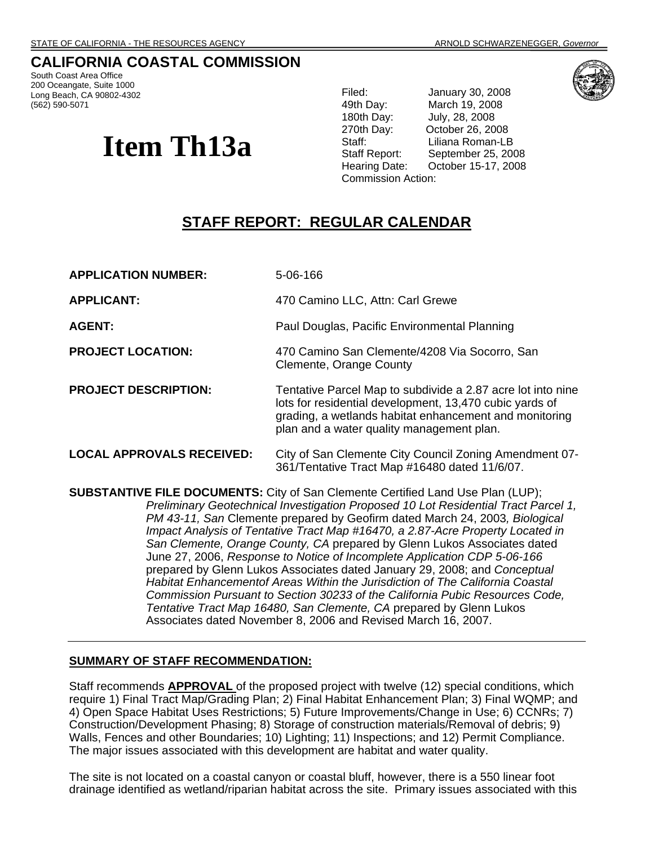# **CALIFORNIA COASTAL COMMISSION**

South Coast Area Office 200 Oceangate, Suite 1000 Long Beach, CA 90802-4302 (562) 590-5071

# **Item Th13a**

Filed: January 30, 2008 49th Day: March 19, 2008 July, 28, 2008 270th Day: October 26, 2008 Staff: Liliana Roman-LB Staff Report: September 25, 2008 Hearing Date: October 15-17, 2008 Commission Action:



# **STAFF REPORT: REGULAR CALENDAR**

**APPLICATION NUMBER:** 5-06-166 **APPLICANT:** 470 Camino LLC, Attn: Carl Grewe **AGENT:** Paul Douglas, Pacific Environmental Planning **PROJECT LOCATION:** 470 Camino San Clemente/4208 Via Socorro, San Clemente, Orange County **PROJECT DESCRIPTION:** Tentative Parcel Map to subdivide a 2.87 acre lot into nine lots for residential development, 13,470 cubic yards of grading, a wetlands habitat enhancement and monitoring plan and a water quality management plan. **LOCAL APPROVALS RECEIVED:** City of San Clemente City Council Zoning Amendment 07- 361/Tentative Tract Map #16480 dated 11/6/07. **SUBSTANTIVE FILE DOCUMENTS:** City of San Clemente Certified Land Use Plan (LUP);

*Preliminary Geotechnical Investigation Proposed 10 Lot Residential Tract Parcel 1, PM 43-11, San* Clemente prepared by Geofirm dated March 24, 2003*, Biological Impact Analysis of Tentative Tract Map #16470, a 2.87-Acre Property Located in San Clemente, Orange County, CA* prepared by Glenn Lukos Associates dated June 27, 2006, *Response to Notice of Incomplete Application CDP 5-06-166*  prepared by Glenn Lukos Associates dated January 29, 2008; and *Conceptual Habitat Enhancementof Areas Within the Jurisdiction of The California Coastal Commission Pursuant to Section 30233 of the California Pubic Resources Code, Tentative Tract Map 16480, San Clemente, CA* prepared by Glenn Lukos Associates dated November 8, 2006 and Revised March 16, 2007.

# **SUMMARY OF STAFF RECOMMENDATION:**

Staff recommends **APPROVAL** of the proposed project with twelve (12) special conditions, which require 1) Final Tract Map/Grading Plan; 2) Final Habitat Enhancement Plan; 3) Final WQMP; and 4) Open Space Habitat Uses Restrictions; 5) Future Improvements/Change in Use; 6) CCNRs; 7) Construction/Development Phasing; 8) Storage of construction materials/Removal of debris; 9) Walls, Fences and other Boundaries; 10) Lighting; 11) Inspections; and 12) Permit Compliance. The major issues associated with this development are habitat and water quality.

The site is not located on a coastal canyon or coastal bluff, however, there is a 550 linear foot drainage identified as wetland/riparian habitat across the site. Primary issues associated with this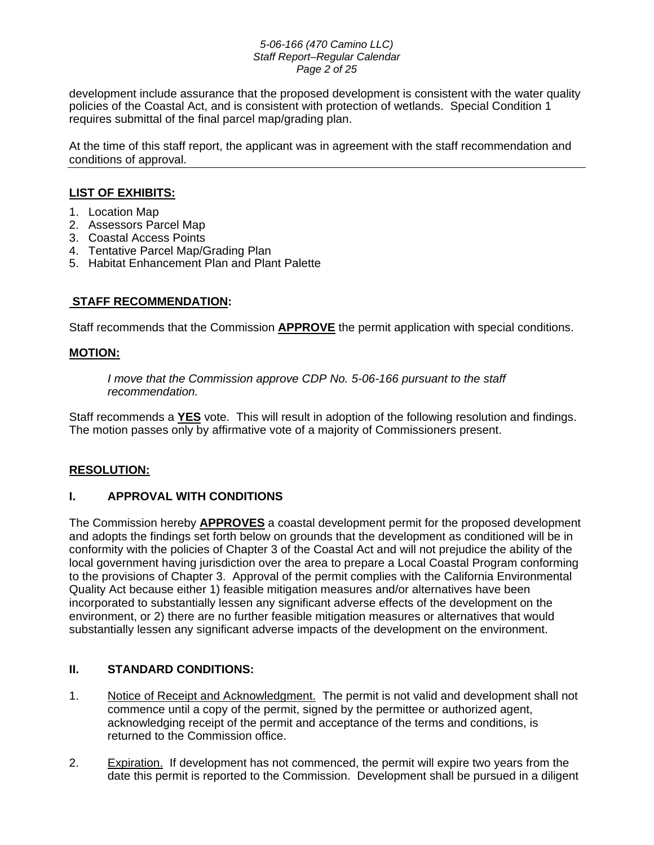#### *5-06-166 (470 Camino LLC) Staff Report–Regular Calendar Page 2 of 25*

development include assurance that the proposed development is consistent with the water quality policies of the Coastal Act, and is consistent with protection of wetlands. Special Condition 1 requires submittal of the final parcel map/grading plan.

At the time of this staff report, the applicant was in agreement with the staff recommendation and conditions of approval.

# **LIST OF EXHIBITS:**

- 1. Location Map
- 2. Assessors Parcel Map
- 3. Coastal Access Points
- 4. Tentative Parcel Map/Grading Plan
- 5. Habitat Enhancement Plan and Plant Palette

# **STAFF RECOMMENDATION:**

Staff recommends that the Commission **APPROVE** the permit application with special conditions.

# **MOTION:**

*I move that the Commission approve CDP No. 5-06-166 pursuant to the staff recommendation.* 

Staff recommends a **YES** vote. This will result in adoption of the following resolution and findings. The motion passes only by affirmative vote of a majority of Commissioners present.

# **RESOLUTION:**

# **I. APPROVAL WITH CONDITIONS**

The Commission hereby **APPROVES** a coastal development permit for the proposed development and adopts the findings set forth below on grounds that the development as conditioned will be in conformity with the policies of Chapter 3 of the Coastal Act and will not prejudice the ability of the local government having jurisdiction over the area to prepare a Local Coastal Program conforming to the provisions of Chapter 3. Approval of the permit complies with the California Environmental Quality Act because either 1) feasible mitigation measures and/or alternatives have been incorporated to substantially lessen any significant adverse effects of the development on the environment, or 2) there are no further feasible mitigation measures or alternatives that would substantially lessen any significant adverse impacts of the development on the environment.

# **II. STANDARD CONDITIONS:**

- 1. Notice of Receipt and Acknowledgment. The permit is not valid and development shall not commence until a copy of the permit, signed by the permittee or authorized agent, acknowledging receipt of the permit and acceptance of the terms and conditions, is returned to the Commission office.
- 2. Expiration. If development has not commenced, the permit will expire two years from the date this permit is reported to the Commission. Development shall be pursued in a diligent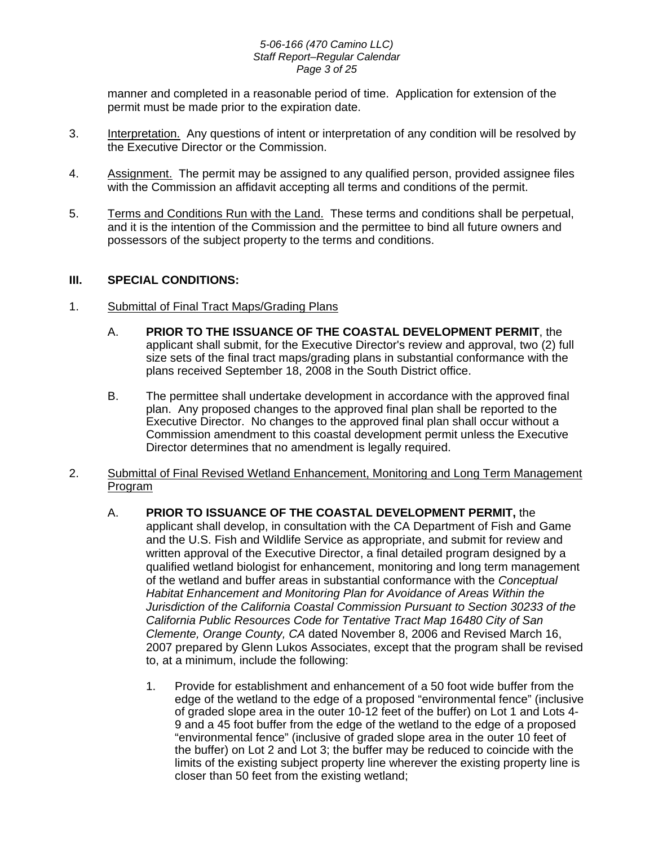#### *5-06-166 (470 Camino LLC) Staff Report–Regular Calendar Page 3 of 25*

manner and completed in a reasonable period of time. Application for extension of the permit must be made prior to the expiration date.

- 3. Interpretation. Any questions of intent or interpretation of any condition will be resolved by the Executive Director or the Commission.
- 4. Assignment. The permit may be assigned to any qualified person, provided assignee files with the Commission an affidavit accepting all terms and conditions of the permit.
- 5. Terms and Conditions Run with the Land. These terms and conditions shall be perpetual, and it is the intention of the Commission and the permittee to bind all future owners and possessors of the subject property to the terms and conditions.

# **III. SPECIAL CONDITIONS:**

- 1. Submittal of Final Tract Maps/Grading Plans
	- A. **PRIOR TO THE ISSUANCE OF THE COASTAL DEVELOPMENT PERMIT**, the applicant shall submit, for the Executive Director's review and approval, two (2) full size sets of the final tract maps/grading plans in substantial conformance with the plans received September 18, 2008 in the South District office.
	- B. The permittee shall undertake development in accordance with the approved final plan. Any proposed changes to the approved final plan shall be reported to the Executive Director. No changes to the approved final plan shall occur without a Commission amendment to this coastal development permit unless the Executive Director determines that no amendment is legally required.
- 2. Submittal of Final Revised Wetland Enhancement, Monitoring and Long Term Management Program
	- A. **PRIOR TO ISSUANCE OF THE COASTAL DEVELOPMENT PERMIT,** the applicant shall develop, in consultation with the CA Department of Fish and Game and the U.S. Fish and Wildlife Service as appropriate, and submit for review and written approval of the Executive Director, a final detailed program designed by a qualified wetland biologist for enhancement, monitoring and long term management of the wetland and buffer areas in substantial conformance with the *Conceptual Habitat Enhancement and Monitoring Plan for Avoidance of Areas Within the Jurisdiction of the California Coastal Commission Pursuant to Section 30233 of the California Public Resources Code for Tentative Tract Map 16480 City of San Clemente, Orange County, CA* dated November 8, 2006 and Revised March 16, 2007 prepared by Glenn Lukos Associates, except that the program shall be revised to, at a minimum, include the following:
		- 1. Provide for establishment and enhancement of a 50 foot wide buffer from the edge of the wetland to the edge of a proposed "environmental fence" (inclusive of graded slope area in the outer 10-12 feet of the buffer) on Lot 1 and Lots 4- 9 and a 45 foot buffer from the edge of the wetland to the edge of a proposed "environmental fence" (inclusive of graded slope area in the outer 10 feet of the buffer) on Lot 2 and Lot 3; the buffer may be reduced to coincide with the limits of the existing subject property line wherever the existing property line is closer than 50 feet from the existing wetland;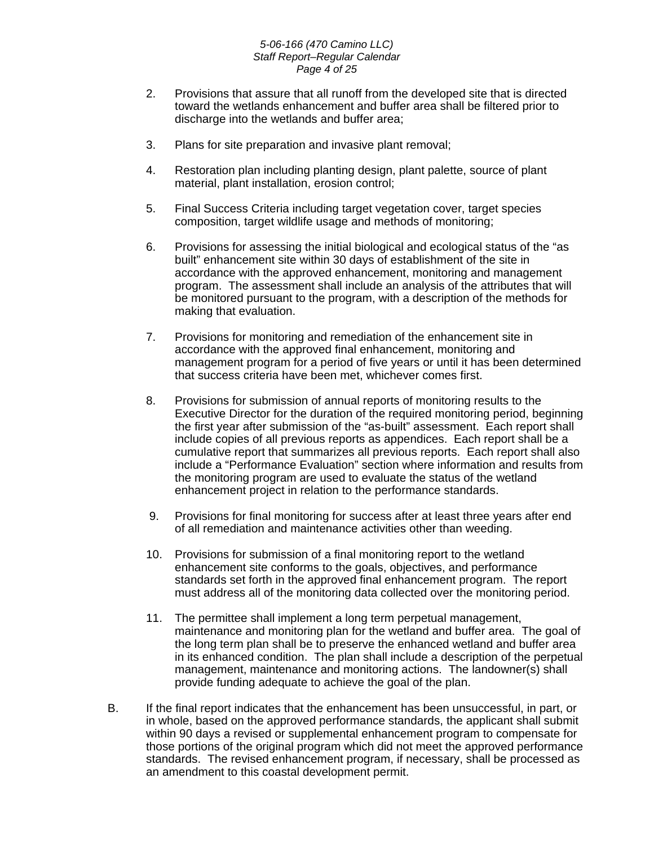#### *5-06-166 (470 Camino LLC) Staff Report–Regular Calendar Page 4 of 25*

- 2. Provisions that assure that all runoff from the developed site that is directed toward the wetlands enhancement and buffer area shall be filtered prior to discharge into the wetlands and buffer area;
- 3. Plans for site preparation and invasive plant removal;
- 4. Restoration plan including planting design, plant palette, source of plant material, plant installation, erosion control;
- 5. Final Success Criteria including target vegetation cover, target species composition, target wildlife usage and methods of monitoring;
- 6. Provisions for assessing the initial biological and ecological status of the "as built" enhancement site within 30 days of establishment of the site in accordance with the approved enhancement, monitoring and management program. The assessment shall include an analysis of the attributes that will be monitored pursuant to the program, with a description of the methods for making that evaluation.
- 7. Provisions for monitoring and remediation of the enhancement site in accordance with the approved final enhancement, monitoring and management program for a period of five years or until it has been determined that success criteria have been met, whichever comes first.
- 8. Provisions for submission of annual reports of monitoring results to the Executive Director for the duration of the required monitoring period, beginning the first year after submission of the "as-built" assessment. Each report shall include copies of all previous reports as appendices. Each report shall be a cumulative report that summarizes all previous reports. Each report shall also include a "Performance Evaluation" section where information and results from the monitoring program are used to evaluate the status of the wetland enhancement project in relation to the performance standards.
- 9. Provisions for final monitoring for success after at least three years after end of all remediation and maintenance activities other than weeding.
- 10. Provisions for submission of a final monitoring report to the wetland enhancement site conforms to the goals, objectives, and performance standards set forth in the approved final enhancement program. The report must address all of the monitoring data collected over the monitoring period.
- 11. The permittee shall implement a long term perpetual management, maintenance and monitoring plan for the wetland and buffer area. The goal of the long term plan shall be to preserve the enhanced wetland and buffer area in its enhanced condition. The plan shall include a description of the perpetual management, maintenance and monitoring actions. The landowner(s) shall provide funding adequate to achieve the goal of the plan.
- B. If the final report indicates that the enhancement has been unsuccessful, in part, or in whole, based on the approved performance standards, the applicant shall submit within 90 days a revised or supplemental enhancement program to compensate for those portions of the original program which did not meet the approved performance standards. The revised enhancement program, if necessary, shall be processed as an amendment to this coastal development permit.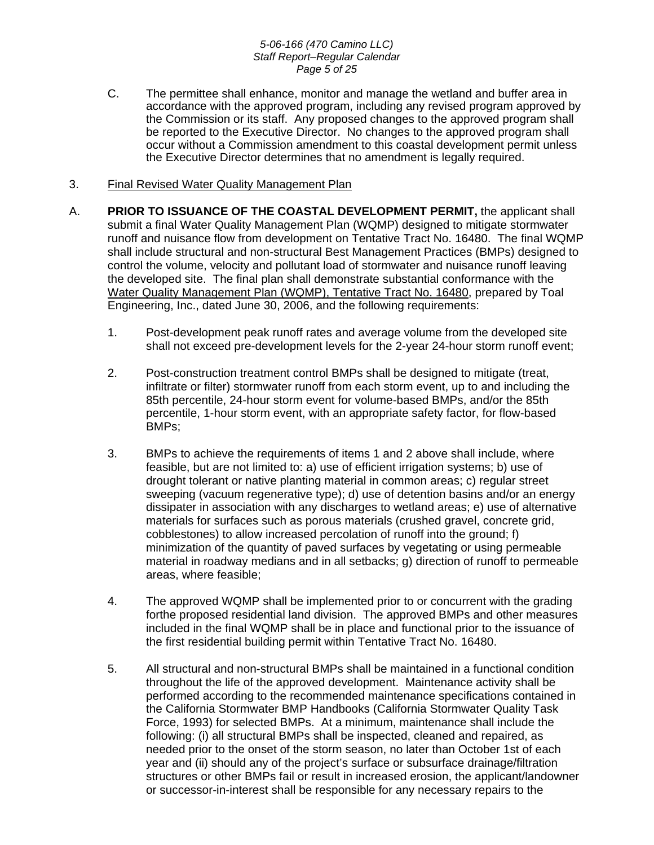#### *5-06-166 (470 Camino LLC) Staff Report–Regular Calendar Page 5 of 25*

C. The permittee shall enhance, monitor and manage the wetland and buffer area in accordance with the approved program, including any revised program approved by the Commission or its staff. Any proposed changes to the approved program shall be reported to the Executive Director. No changes to the approved program shall occur without a Commission amendment to this coastal development permit unless the Executive Director determines that no amendment is legally required.

# 3. Final Revised Water Quality Management Plan

- A. **PRIOR TO ISSUANCE OF THE COASTAL DEVELOPMENT PERMIT,** the applicant shall submit a final Water Quality Management Plan (WQMP) designed to mitigate stormwater runoff and nuisance flow from development on Tentative Tract No. 16480. The final WQMP shall include structural and non-structural Best Management Practices (BMPs) designed to control the volume, velocity and pollutant load of stormwater and nuisance runoff leaving the developed site. The final plan shall demonstrate substantial conformance with the Water Quality Management Plan (WQMP), Tentative Tract No. 16480, prepared by Toal Engineering, Inc., dated June 30, 2006, and the following requirements:
	- 1. Post-development peak runoff rates and average volume from the developed site shall not exceed pre-development levels for the 2-year 24-hour storm runoff event;
	- 2. Post-construction treatment control BMPs shall be designed to mitigate (treat, infiltrate or filter) stormwater runoff from each storm event, up to and including the 85th percentile, 24-hour storm event for volume-based BMPs, and/or the 85th percentile, 1-hour storm event, with an appropriate safety factor, for flow-based BMPs;
	- 3. BMPs to achieve the requirements of items 1 and 2 above shall include, where feasible, but are not limited to: a) use of efficient irrigation systems; b) use of drought tolerant or native planting material in common areas; c) regular street sweeping (vacuum regenerative type); d) use of detention basins and/or an energy dissipater in association with any discharges to wetland areas; e) use of alternative materials for surfaces such as porous materials (crushed gravel, concrete grid, cobblestones) to allow increased percolation of runoff into the ground; f) minimization of the quantity of paved surfaces by vegetating or using permeable material in roadway medians and in all setbacks; g) direction of runoff to permeable areas, where feasible;
	- 4. The approved WQMP shall be implemented prior to or concurrent with the grading forthe proposed residential land division. The approved BMPs and other measures included in the final WQMP shall be in place and functional prior to the issuance of the first residential building permit within Tentative Tract No. 16480.
	- 5. All structural and non-structural BMPs shall be maintained in a functional condition throughout the life of the approved development. Maintenance activity shall be performed according to the recommended maintenance specifications contained in the California Stormwater BMP Handbooks (California Stormwater Quality Task Force, 1993) for selected BMPs. At a minimum, maintenance shall include the following: (i) all structural BMPs shall be inspected, cleaned and repaired, as needed prior to the onset of the storm season, no later than October 1st of each year and (ii) should any of the project's surface or subsurface drainage/filtration structures or other BMPs fail or result in increased erosion, the applicant/landowner or successor-in-interest shall be responsible for any necessary repairs to the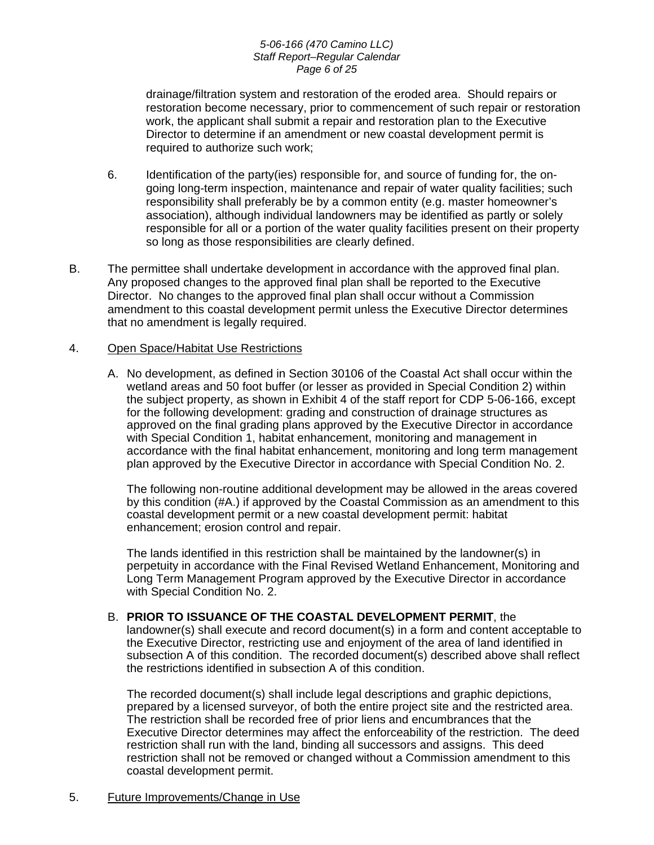#### *5-06-166 (470 Camino LLC) Staff Report–Regular Calendar Page 6 of 25*

drainage/filtration system and restoration of the eroded area. Should repairs or restoration become necessary, prior to commencement of such repair or restoration work, the applicant shall submit a repair and restoration plan to the Executive Director to determine if an amendment or new coastal development permit is required to authorize such work;

- 6. Identification of the party(ies) responsible for, and source of funding for, the ongoing long-term inspection, maintenance and repair of water quality facilities; such responsibility shall preferably be by a common entity (e.g. master homeowner's association), although individual landowners may be identified as partly or solely responsible for all or a portion of the water quality facilities present on their property so long as those responsibilities are clearly defined.
- B. The permittee shall undertake development in accordance with the approved final plan. Any proposed changes to the approved final plan shall be reported to the Executive Director. No changes to the approved final plan shall occur without a Commission amendment to this coastal development permit unless the Executive Director determines that no amendment is legally required.

# 4. Open Space/Habitat Use Restrictions

A. No development, as defined in Section 30106 of the Coastal Act shall occur within the wetland areas and 50 foot buffer (or lesser as provided in Special Condition 2) within the subject property, as shown in Exhibit 4 of the staff report for CDP 5-06-166, except for the following development: grading and construction of drainage structures as approved on the final grading plans approved by the Executive Director in accordance with Special Condition 1, habitat enhancement, monitoring and management in accordance with the final habitat enhancement, monitoring and long term management plan approved by the Executive Director in accordance with Special Condition No. 2.

The following non-routine additional development may be allowed in the areas covered by this condition (#A.) if approved by the Coastal Commission as an amendment to this coastal development permit or a new coastal development permit: habitat enhancement; erosion control and repair.

The lands identified in this restriction shall be maintained by the landowner(s) in perpetuity in accordance with the Final Revised Wetland Enhancement, Monitoring and Long Term Management Program approved by the Executive Director in accordance with Special Condition No. 2.

B. **PRIOR TO ISSUANCE OF THE COASTAL DEVELOPMENT PERMIT**, the landowner(s) shall execute and record document(s) in a form and content acceptable to the Executive Director, restricting use and enjoyment of the area of land identified in subsection A of this condition. The recorded document(s) described above shall reflect the restrictions identified in subsection A of this condition.

 The recorded document(s) shall include legal descriptions and graphic depictions, prepared by a licensed surveyor, of both the entire project site and the restricted area. The restriction shall be recorded free of prior liens and encumbrances that the Executive Director determines may affect the enforceability of the restriction. The deed restriction shall run with the land, binding all successors and assigns. This deed restriction shall not be removed or changed without a Commission amendment to this coastal development permit.

5. Future Improvements/Change in Use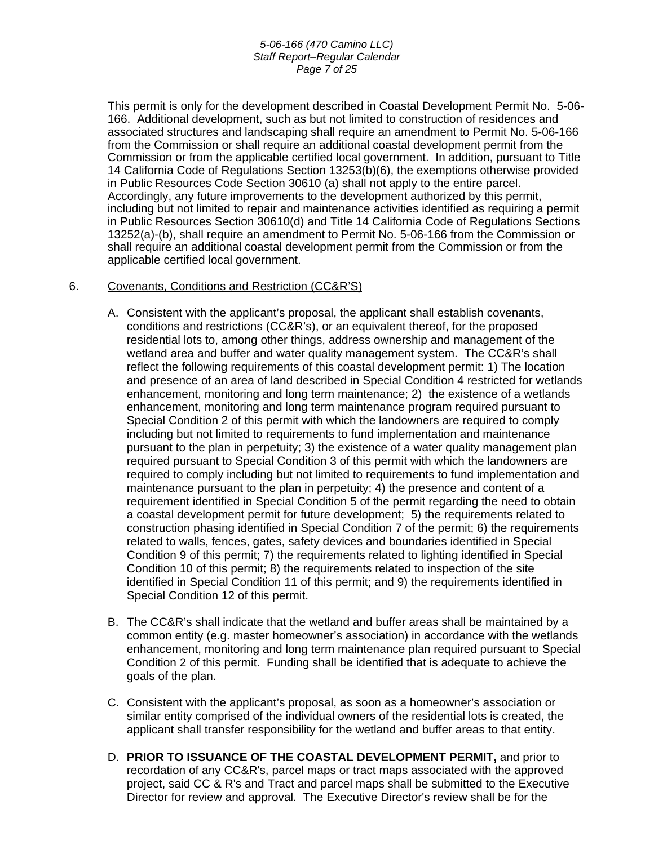#### *5-06-166 (470 Camino LLC) Staff Report–Regular Calendar Page 7 of 25*

 This permit is only for the development described in Coastal Development Permit No. 5-06- 166. Additional development, such as but not limited to construction of residences and associated structures and landscaping shall require an amendment to Permit No. 5-06-166 from the Commission or shall require an additional coastal development permit from the Commission or from the applicable certified local government. In addition, pursuant to Title 14 California Code of Regulations Section 13253(b)(6), the exemptions otherwise provided in Public Resources Code Section 30610 (a) shall not apply to the entire parcel. Accordingly, any future improvements to the development authorized by this permit, including but not limited to repair and maintenance activities identified as requiring a permit in Public Resources Section 30610(d) and Title 14 California Code of Regulations Sections 13252(a)-(b), shall require an amendment to Permit No. 5-06-166 from the Commission or shall require an additional coastal development permit from the Commission or from the applicable certified local government.

# 6. Covenants, Conditions and Restriction (CC&R'S)

- A. Consistent with the applicant's proposal, the applicant shall establish covenants, conditions and restrictions (CC&R's), or an equivalent thereof, for the proposed residential lots to, among other things, address ownership and management of the wetland area and buffer and water quality management system. The CC&R's shall reflect the following requirements of this coastal development permit: 1) The location and presence of an area of land described in Special Condition 4 restricted for wetlands enhancement, monitoring and long term maintenance; 2) the existence of a wetlands enhancement, monitoring and long term maintenance program required pursuant to Special Condition 2 of this permit with which the landowners are required to comply including but not limited to requirements to fund implementation and maintenance pursuant to the plan in perpetuity; 3) the existence of a water quality management plan required pursuant to Special Condition 3 of this permit with which the landowners are required to comply including but not limited to requirements to fund implementation and maintenance pursuant to the plan in perpetuity; 4) the presence and content of a requirement identified in Special Condition 5 of the permit regarding the need to obtain a coastal development permit for future development; 5) the requirements related to construction phasing identified in Special Condition 7 of the permit; 6) the requirements related to walls, fences, gates, safety devices and boundaries identified in Special Condition 9 of this permit; 7) the requirements related to lighting identified in Special Condition 10 of this permit; 8) the requirements related to inspection of the site identified in Special Condition 11 of this permit; and 9) the requirements identified in Special Condition 12 of this permit.
- B. The CC&R's shall indicate that the wetland and buffer areas shall be maintained by a common entity (e.g. master homeowner's association) in accordance with the wetlands enhancement, monitoring and long term maintenance plan required pursuant to Special Condition 2 of this permit. Funding shall be identified that is adequate to achieve the goals of the plan.
- C. Consistent with the applicant's proposal, as soon as a homeowner's association or similar entity comprised of the individual owners of the residential lots is created, the applicant shall transfer responsibility for the wetland and buffer areas to that entity.
- D. **PRIOR TO ISSUANCE OF THE COASTAL DEVELOPMENT PERMIT,** and prior to recordation of any CC&R's, parcel maps or tract maps associated with the approved project, said CC & R's and Tract and parcel maps shall be submitted to the Executive Director for review and approval. The Executive Director's review shall be for the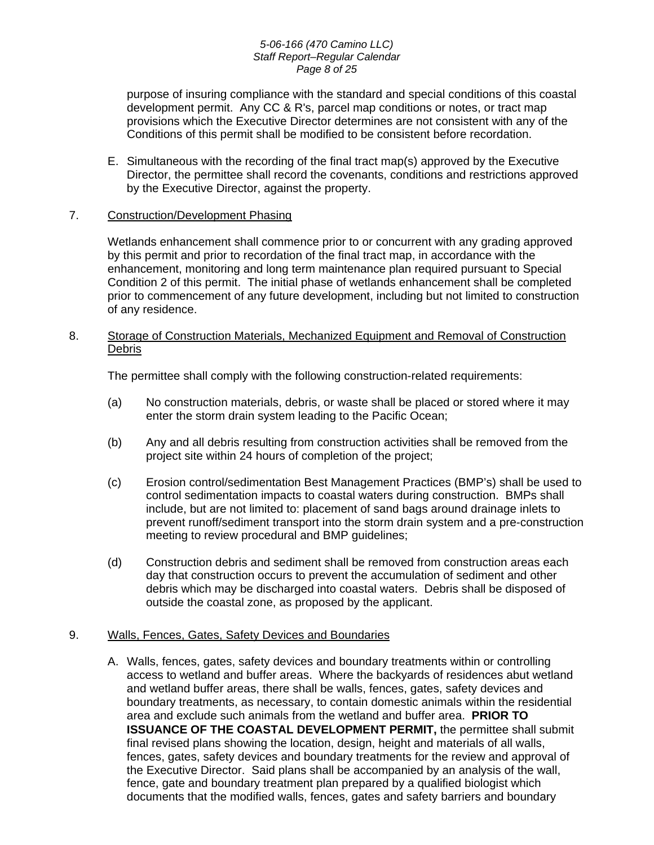#### *5-06-166 (470 Camino LLC) Staff Report–Regular Calendar Page 8 of 25*

purpose of insuring compliance with the standard and special conditions of this coastal development permit. Any CC & R's, parcel map conditions or notes, or tract map provisions which the Executive Director determines are not consistent with any of the Conditions of this permit shall be modified to be consistent before recordation.

E. Simultaneous with the recording of the final tract map(s) approved by the Executive Director, the permittee shall record the covenants, conditions and restrictions approved by the Executive Director, against the property.

# 7. Construction/Development Phasing

Wetlands enhancement shall commence prior to or concurrent with any grading approved by this permit and prior to recordation of the final tract map, in accordance with the enhancement, monitoring and long term maintenance plan required pursuant to Special Condition 2 of this permit. The initial phase of wetlands enhancement shall be completed prior to commencement of any future development, including but not limited to construction of any residence.

# 8. Storage of Construction Materials, Mechanized Equipment and Removal of Construction Debris

The permittee shall comply with the following construction-related requirements:

- (a) No construction materials, debris, or waste shall be placed or stored where it may enter the storm drain system leading to the Pacific Ocean;
- (b) Any and all debris resulting from construction activities shall be removed from the project site within 24 hours of completion of the project;
- (c) Erosion control/sedimentation Best Management Practices (BMP's) shall be used to control sedimentation impacts to coastal waters during construction. BMPs shall include, but are not limited to: placement of sand bags around drainage inlets to prevent runoff/sediment transport into the storm drain system and a pre-construction meeting to review procedural and BMP guidelines;
- (d) Construction debris and sediment shall be removed from construction areas each day that construction occurs to prevent the accumulation of sediment and other debris which may be discharged into coastal waters. Debris shall be disposed of outside the coastal zone, as proposed by the applicant.

# 9. Walls, Fences, Gates, Safety Devices and Boundaries

A. Walls, fences, gates, safety devices and boundary treatments within or controlling access to wetland and buffer areas. Where the backyards of residences abut wetland and wetland buffer areas, there shall be walls, fences, gates, safety devices and boundary treatments, as necessary, to contain domestic animals within the residential area and exclude such animals from the wetland and buffer area. **PRIOR TO ISSUANCE OF THE COASTAL DEVELOPMENT PERMIT, the permittee shall submit** final revised plans showing the location, design, height and materials of all walls, fences, gates, safety devices and boundary treatments for the review and approval of the Executive Director. Said plans shall be accompanied by an analysis of the wall, fence, gate and boundary treatment plan prepared by a qualified biologist which documents that the modified walls, fences, gates and safety barriers and boundary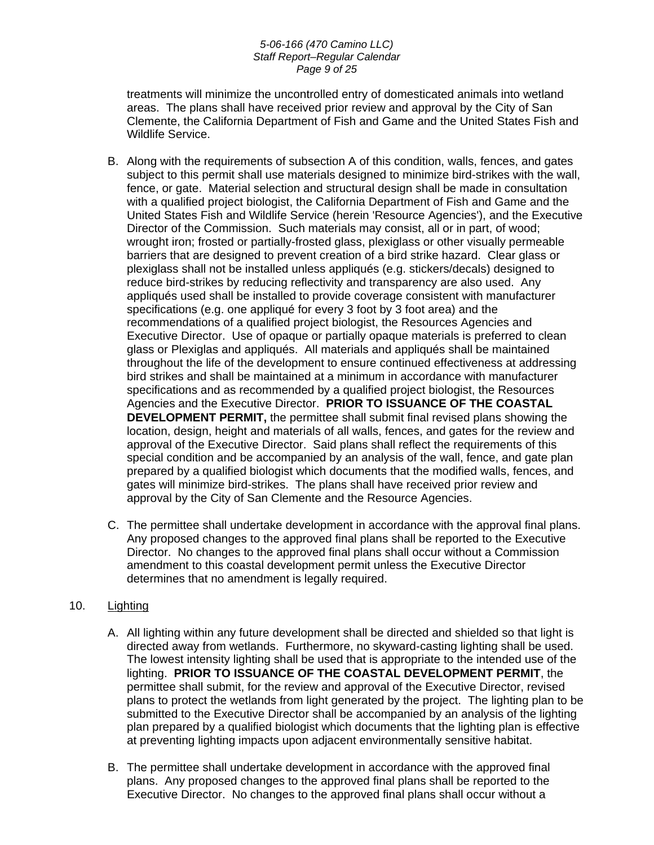#### *5-06-166 (470 Camino LLC) Staff Report–Regular Calendar Page 9 of 25*

treatments will minimize the uncontrolled entry of domesticated animals into wetland areas. The plans shall have received prior review and approval by the City of San Clemente, the California Department of Fish and Game and the United States Fish and Wildlife Service.

- B. Along with the requirements of subsection A of this condition, walls, fences, and gates subject to this permit shall use materials designed to minimize bird-strikes with the wall, fence, or gate. Material selection and structural design shall be made in consultation with a qualified project biologist, the California Department of Fish and Game and the United States Fish and Wildlife Service (herein 'Resource Agencies'), and the Executive Director of the Commission. Such materials may consist, all or in part, of wood; wrought iron; frosted or partially-frosted glass, plexiglass or other visually permeable barriers that are designed to prevent creation of a bird strike hazard. Clear glass or plexiglass shall not be installed unless appliqués (e.g. stickers/decals) designed to reduce bird-strikes by reducing reflectivity and transparency are also used. Any appliqués used shall be installed to provide coverage consistent with manufacturer specifications (e.g. one appliqué for every 3 foot by 3 foot area) and the recommendations of a qualified project biologist, the Resources Agencies and Executive Director. Use of opaque or partially opaque materials is preferred to clean glass or Plexiglas and appliqués. All materials and appliqués shall be maintained throughout the life of the development to ensure continued effectiveness at addressing bird strikes and shall be maintained at a minimum in accordance with manufacturer specifications and as recommended by a qualified project biologist, the Resources Agencies and the Executive Director. **PRIOR TO ISSUANCE OF THE COASTAL DEVELOPMENT PERMIT,** the permittee shall submit final revised plans showing the location, design, height and materials of all walls, fences, and gates for the review and approval of the Executive Director. Said plans shall reflect the requirements of this special condition and be accompanied by an analysis of the wall, fence, and gate plan prepared by a qualified biologist which documents that the modified walls, fences, and gates will minimize bird-strikes. The plans shall have received prior review and approval by the City of San Clemente and the Resource Agencies.
- C. The permittee shall undertake development in accordance with the approval final plans. Any proposed changes to the approved final plans shall be reported to the Executive Director. No changes to the approved final plans shall occur without a Commission amendment to this coastal development permit unless the Executive Director determines that no amendment is legally required.

# 10. Lighting

- A. All lighting within any future development shall be directed and shielded so that light is directed away from wetlands. Furthermore, no skyward-casting lighting shall be used. The lowest intensity lighting shall be used that is appropriate to the intended use of the lighting. **PRIOR TO ISSUANCE OF THE COASTAL DEVELOPMENT PERMIT**, the permittee shall submit, for the review and approval of the Executive Director, revised plans to protect the wetlands from light generated by the project. The lighting plan to be submitted to the Executive Director shall be accompanied by an analysis of the lighting plan prepared by a qualified biologist which documents that the lighting plan is effective at preventing lighting impacts upon adjacent environmentally sensitive habitat.
- B. The permittee shall undertake development in accordance with the approved final plans. Any proposed changes to the approved final plans shall be reported to the Executive Director. No changes to the approved final plans shall occur without a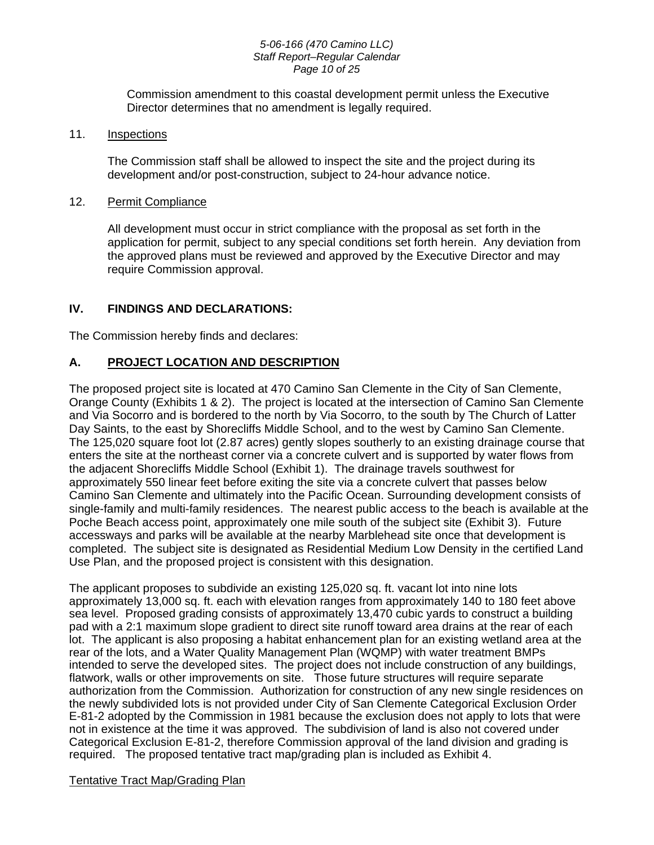#### *5-06-166 (470 Camino LLC) Staff Report–Regular Calendar Page 10 of 25*

Commission amendment to this coastal development permit unless the Executive Director determines that no amendment is legally required.

# 11. Inspections

The Commission staff shall be allowed to inspect the site and the project during its development and/or post-construction, subject to 24-hour advance notice.

# 12. Permit Compliance

 All development must occur in strict compliance with the proposal as set forth in the application for permit, subject to any special conditions set forth herein. Any deviation from the approved plans must be reviewed and approved by the Executive Director and may require Commission approval.

# **IV. FINDINGS AND DECLARATIONS:**

The Commission hereby finds and declares:

# **A. PROJECT LOCATION AND DESCRIPTION**

The proposed project site is located at 470 Camino San Clemente in the City of San Clemente, Orange County (Exhibits 1 & 2). The project is located at the intersection of Camino San Clemente and Via Socorro and is bordered to the north by Via Socorro, to the south by The Church of Latter Day Saints, to the east by Shorecliffs Middle School, and to the west by Camino San Clemente. The 125,020 square foot lot (2.87 acres) gently slopes southerly to an existing drainage course that enters the site at the northeast corner via a concrete culvert and is supported by water flows from the adjacent Shorecliffs Middle School (Exhibit 1). The drainage travels southwest for approximately 550 linear feet before exiting the site via a concrete culvert that passes below Camino San Clemente and ultimately into the Pacific Ocean. Surrounding development consists of single-family and multi-family residences. The nearest public access to the beach is available at the Poche Beach access point, approximately one mile south of the subject site (Exhibit 3). Future accessways and parks will be available at the nearby Marblehead site once that development is completed. The subject site is designated as Residential Medium Low Density in the certified Land Use Plan, and the proposed project is consistent with this designation.

The applicant proposes to subdivide an existing 125,020 sq. ft. vacant lot into nine lots approximately 13,000 sq. ft. each with elevation ranges from approximately 140 to 180 feet above sea level. Proposed grading consists of approximately 13,470 cubic yards to construct a building pad with a 2:1 maximum slope gradient to direct site runoff toward area drains at the rear of each lot. The applicant is also proposing a habitat enhancement plan for an existing wetland area at the rear of the lots, and a Water Quality Management Plan (WQMP) with water treatment BMPs intended to serve the developed sites. The project does not include construction of any buildings, flatwork, walls or other improvements on site. Those future structures will require separate authorization from the Commission. Authorization for construction of any new single residences on the newly subdivided lots is not provided under City of San Clemente Categorical Exclusion Order E-81-2 adopted by the Commission in 1981 because the exclusion does not apply to lots that were not in existence at the time it was approved. The subdivision of land is also not covered under Categorical Exclusion E-81-2, therefore Commission approval of the land division and grading is required. The proposed tentative tract map/grading plan is included as Exhibit 4.

# Tentative Tract Map/Grading Plan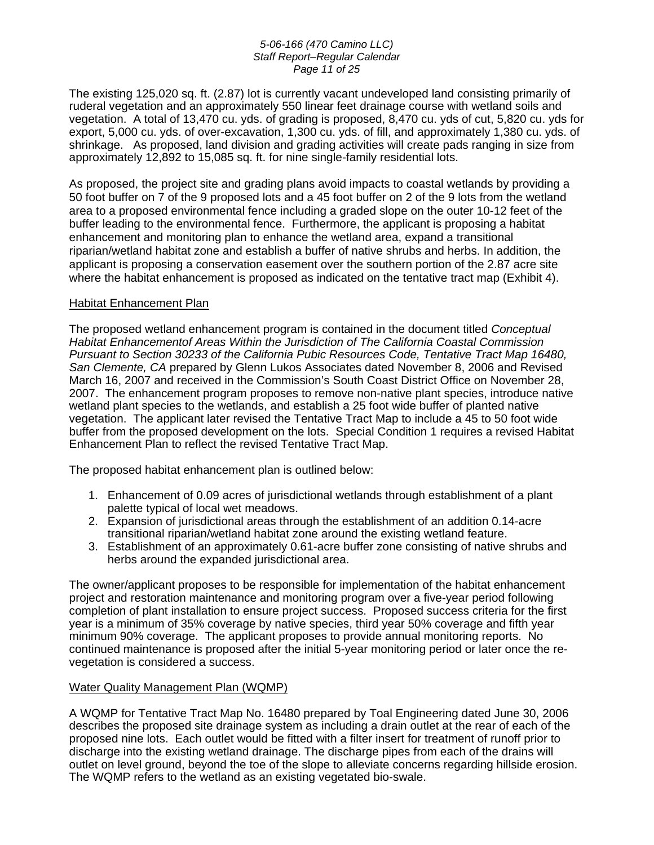#### *5-06-166 (470 Camino LLC) Staff Report–Regular Calendar Page 11 of 25*

The existing 125,020 sq. ft. (2.87) lot is currently vacant undeveloped land consisting primarily of ruderal vegetation and an approximately 550 linear feet drainage course with wetland soils and vegetation. A total of 13,470 cu. yds. of grading is proposed, 8,470 cu. yds of cut, 5,820 cu. yds for export, 5,000 cu. yds. of over-excavation, 1,300 cu. yds. of fill, and approximately 1,380 cu. yds. of shrinkage. As proposed, land division and grading activities will create pads ranging in size from approximately 12,892 to 15,085 sq. ft. for nine single-family residential lots.

As proposed, the project site and grading plans avoid impacts to coastal wetlands by providing a 50 foot buffer on 7 of the 9 proposed lots and a 45 foot buffer on 2 of the 9 lots from the wetland area to a proposed environmental fence including a graded slope on the outer 10-12 feet of the buffer leading to the environmental fence. Furthermore, the applicant is proposing a habitat enhancement and monitoring plan to enhance the wetland area, expand a transitional riparian/wetland habitat zone and establish a buffer of native shrubs and herbs. In addition, the applicant is proposing a conservation easement over the southern portion of the 2.87 acre site where the habitat enhancement is proposed as indicated on the tentative tract map (Exhibit 4).

# Habitat Enhancement Plan

The proposed wetland enhancement program is contained in the document titled *Conceptual Habitat Enhancementof Areas Within the Jurisdiction of The California Coastal Commission Pursuant to Section 30233 of the California Pubic Resources Code, Tentative Tract Map 16480, San Clemente, CA* prepared by Glenn Lukos Associates dated November 8, 2006 and Revised March 16, 2007 and received in the Commission's South Coast District Office on November 28, 2007. The enhancement program proposes to remove non-native plant species, introduce native wetland plant species to the wetlands, and establish a 25 foot wide buffer of planted native vegetation. The applicant later revised the Tentative Tract Map to include a 45 to 50 foot wide buffer from the proposed development on the lots. Special Condition 1 requires a revised Habitat Enhancement Plan to reflect the revised Tentative Tract Map.

The proposed habitat enhancement plan is outlined below:

- 1. Enhancement of 0.09 acres of jurisdictional wetlands through establishment of a plant palette typical of local wet meadows.
- 2. Expansion of jurisdictional areas through the establishment of an addition 0.14-acre transitional riparian/wetland habitat zone around the existing wetland feature.
- 3. Establishment of an approximately 0.61-acre buffer zone consisting of native shrubs and herbs around the expanded jurisdictional area.

The owner/applicant proposes to be responsible for implementation of the habitat enhancement project and restoration maintenance and monitoring program over a five-year period following completion of plant installation to ensure project success. Proposed success criteria for the first year is a minimum of 35% coverage by native species, third year 50% coverage and fifth year minimum 90% coverage. The applicant proposes to provide annual monitoring reports. No continued maintenance is proposed after the initial 5-year monitoring period or later once the revegetation is considered a success.

# Water Quality Management Plan (WQMP)

A WQMP for Tentative Tract Map No. 16480 prepared by Toal Engineering dated June 30, 2006 describes the proposed site drainage system as including a drain outlet at the rear of each of the proposed nine lots. Each outlet would be fitted with a filter insert for treatment of runoff prior to discharge into the existing wetland drainage. The discharge pipes from each of the drains will outlet on level ground, beyond the toe of the slope to alleviate concerns regarding hillside erosion. The WQMP refers to the wetland as an existing vegetated bio-swale.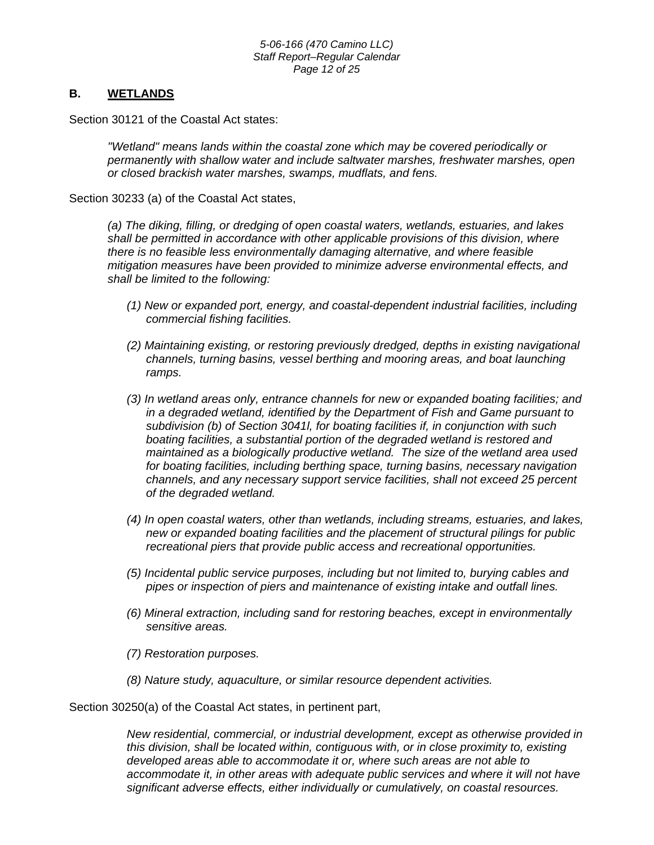# **B. WETLANDS**

Section 30121 of the Coastal Act states:

*"Wetland" means lands within the coastal zone which may be covered periodically or permanently with shallow water and include saltwater marshes, freshwater marshes, open or closed brackish water marshes, swamps, mudflats, and fens.*

Section 30233 (a) of the Coastal Act states,

*(a) The diking, filling, or dredging of open coastal waters, wetlands, estuaries, and lakes shall be permitted in accordance with other applicable provisions of this division, where there is no feasible less environmentally damaging alternative, and where feasible mitigation measures have been provided to minimize adverse environmental effects, and shall be limited to the following:* 

- *(1) New or expanded port, energy, and coastal-dependent industrial facilities, including commercial fishing facilities.*
- *(2) Maintaining existing, or restoring previously dredged, depths in existing navigational channels, turning basins, vessel berthing and mooring areas, and boat launching ramps.*
- *(3) In wetland areas only, entrance channels for new or expanded boating facilities; and in a degraded wetland, identified by the Department of Fish and Game pursuant to subdivision (b) of Section 3041l, for boating facilities if, in conjunction with such boating facilities, a substantial portion of the degraded wetland is restored and maintained as a biologically productive wetland. The size of the wetland area used for boating facilities, including berthing space, turning basins, necessary navigation channels, and any necessary support service facilities, shall not exceed 25 percent of the degraded wetland.*
- *(4) In open coastal waters, other than wetlands, including streams, estuaries, and lakes, new or expanded boating facilities and the placement of structural pilings for public recreational piers that provide public access and recreational opportunities.*
- *(5) Incidental public service purposes, including but not limited to, burying cables and pipes or inspection of piers and maintenance of existing intake and outfall lines.*
- *(6) Mineral extraction, including sand for restoring beaches, except in environmentally sensitive areas.*
- *(7) Restoration purposes.*
- *(8) Nature study, aquaculture, or similar resource dependent activities.*

Section 30250(a) of the Coastal Act states, in pertinent part,

*New residential, commercial, or industrial development, except as otherwise provided in this division, shall be located within, contiguous with, or in close proximity to, existing developed areas able to accommodate it or, where such areas are not able to accommodate it, in other areas with adequate public services and where it will not have significant adverse effects, either individually or cumulatively, on coastal resources.*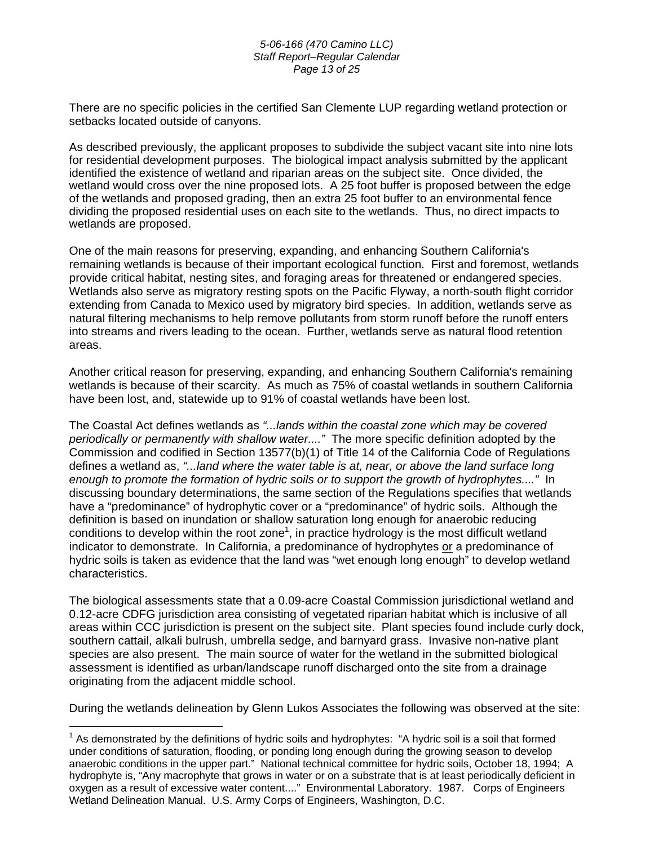#### *5-06-166 (470 Camino LLC) Staff Report–Regular Calendar Page 13 of 25*

There are no specific policies in the certified San Clemente LUP regarding wetland protection or setbacks located outside of canyons.

As described previously, the applicant proposes to subdivide the subject vacant site into nine lots for residential development purposes. The biological impact analysis submitted by the applicant identified the existence of wetland and riparian areas on the subject site. Once divided, the wetland would cross over the nine proposed lots. A 25 foot buffer is proposed between the edge of the wetlands and proposed grading, then an extra 25 foot buffer to an environmental fence dividing the proposed residential uses on each site to the wetlands. Thus, no direct impacts to wetlands are proposed.

One of the main reasons for preserving, expanding, and enhancing Southern California's remaining wetlands is because of their important ecological function. First and foremost, wetlands provide critical habitat, nesting sites, and foraging areas for threatened or endangered species. Wetlands also serve as migratory resting spots on the Pacific Flyway, a north-south flight corridor extending from Canada to Mexico used by migratory bird species. In addition, wetlands serve as natural filtering mechanisms to help remove pollutants from storm runoff before the runoff enters into streams and rivers leading to the ocean. Further, wetlands serve as natural flood retention areas.

Another critical reason for preserving, expanding, and enhancing Southern California's remaining wetlands is because of their scarcity. As much as 75% of coastal wetlands in southern California have been lost, and, statewide up to 91% of coastal wetlands have been lost.

The Coastal Act defines wetlands as *"...lands within the coastal zone which may be covered periodically or permanently with shallow water...."* The more specific definition adopted by the Commission and codified in Section 13577(b)(1) of Title 14 of the California Code of Regulations defines a wetland as, *"...land where the water table is at, near, or above the land surface long enough to promote the formation of hydric soils or to support the growth of hydrophytes...."* In discussing boundary determinations, the same section of the Regulations specifies that wetlands have a "predominance" of hydrophytic cover or a "predominance" of hydric soils. Although the definition is based on inundation or shallow saturation long enough for anaerobic reducing conditions to develop within the root zone<sup>[1](#page-12-0)</sup>, in practice hydrology is the most difficult wetland indicator to demonstrate. In California, a predominance of hydrophytes or a predominance of hydric soils is taken as evidence that the land was "wet enough long enough" to develop wetland characteristics.

The biological assessments state that a 0.09-acre Coastal Commission jurisdictional wetland and 0.12-acre CDFG jurisdiction area consisting of vegetated riparian habitat which is inclusive of all areas within CCC jurisdiction is present on the subject site. Plant species found include curly dock, southern cattail, alkali bulrush, umbrella sedge, and barnyard grass.Invasive non-native plant species are also present. The main source of water for the wetland in the submitted biological assessment is identified as urban/landscape runoff discharged onto the site from a drainage originating from the adjacent middle school.

During the wetlands delineation by Glenn Lukos Associates the following was observed at the site:

<span id="page-12-0"></span> $\overline{a}$  $1$  As demonstrated by the definitions of hydric soils and hydrophytes: "A hydric soil is a soil that formed under conditions of saturation, flooding, or ponding long enough during the growing season to develop anaerobic conditions in the upper part." National technical committee for hydric soils, October 18, 1994; A hydrophyte is, "Any macrophyte that grows in water or on a substrate that is at least periodically deficient in oxygen as a result of excessive water content...." Environmental Laboratory. 1987. Corps of Engineers Wetland Delineation Manual. U.S. Army Corps of Engineers, Washington, D.C.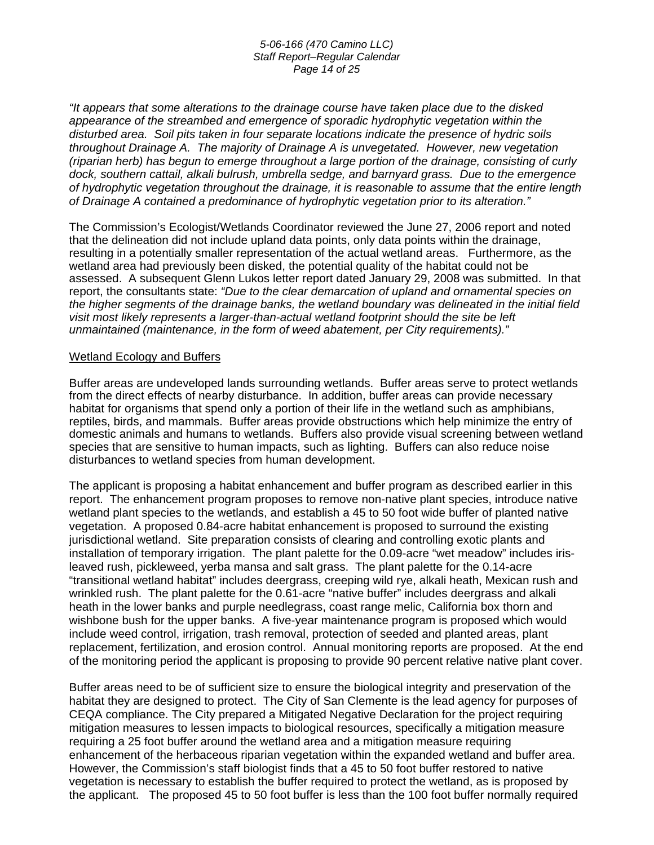#### *5-06-166 (470 Camino LLC) Staff Report–Regular Calendar Page 14 of 25*

*"It appears that some alterations to the drainage course have taken place due to the disked appearance of the streambed and emergence of sporadic hydrophytic vegetation within the disturbed area. Soil pits taken in four separate locations indicate the presence of hydric soils throughout Drainage A. The majority of Drainage A is unvegetated. However, new vegetation (riparian herb) has begun to emerge throughout a large portion of the drainage, consisting of curly dock, southern cattail, alkali bulrush, umbrella sedge, and barnyard grass. Due to the emergence of hydrophytic vegetation throughout the drainage, it is reasonable to assume that the entire length of Drainage A contained a predominance of hydrophytic vegetation prior to its alteration."* 

The Commission's Ecologist/Wetlands Coordinator reviewed the June 27, 2006 report and noted that the delineation did not include upland data points, only data points within the drainage, resulting in a potentially smaller representation of the actual wetland areas. Furthermore, as the wetland area had previously been disked, the potential quality of the habitat could not be assessed. A subsequent Glenn Lukos letter report dated January 29, 2008 was submitted. In that report, the consultants state: *"Due to the clear demarcation of upland and ornamental species on the higher segments of the drainage banks, the wetland boundary was delineated in the initial field visit most likely represents a larger-than-actual wetland footprint should the site be left unmaintained (maintenance, in the form of weed abatement, per City requirements)."*

#### Wetland Ecology and Buffers

Buffer areas are undeveloped lands surrounding wetlands. Buffer areas serve to protect wetlands from the direct effects of nearby disturbance. In addition, buffer areas can provide necessary habitat for organisms that spend only a portion of their life in the wetland such as amphibians, reptiles, birds, and mammals. Buffer areas provide obstructions which help minimize the entry of domestic animals and humans to wetlands. Buffers also provide visual screening between wetland species that are sensitive to human impacts, such as lighting. Buffers can also reduce noise disturbances to wetland species from human development.

The applicant is proposing a habitat enhancement and buffer program as described earlier in this report. The enhancement program proposes to remove non-native plant species, introduce native wetland plant species to the wetlands, and establish a 45 to 50 foot wide buffer of planted native vegetation. A proposed 0.84-acre habitat enhancement is proposed to surround the existing jurisdictional wetland. Site preparation consists of clearing and controlling exotic plants and installation of temporary irrigation. The plant palette for the 0.09-acre "wet meadow" includes irisleaved rush, pickleweed, yerba mansa and salt grass. The plant palette for the 0.14-acre "transitional wetland habitat" includes deergrass, creeping wild rye, alkali heath, Mexican rush and wrinkled rush. The plant palette for the 0.61-acre "native buffer" includes deergrass and alkali heath in the lower banks and purple needlegrass, coast range melic, California box thorn and wishbone bush for the upper banks. A five-year maintenance program is proposed which would include weed control, irrigation, trash removal, protection of seeded and planted areas, plant replacement, fertilization, and erosion control. Annual monitoring reports are proposed. At the end of the monitoring period the applicant is proposing to provide 90 percent relative native plant cover.

Buffer areas need to be of sufficient size to ensure the biological integrity and preservation of the habitat they are designed to protect. The City of San Clemente is the lead agency for purposes of CEQA compliance. The City prepared a Mitigated Negative Declaration for the project requiring mitigation measures to lessen impacts to biological resources, specifically a mitigation measure requiring a 25 foot buffer around the wetland area and a mitigation measure requiring enhancement of the herbaceous riparian vegetation within the expanded wetland and buffer area. However, the Commission's staff biologist finds that a 45 to 50 foot buffer restored to native vegetation is necessary to establish the buffer required to protect the wetland, as is proposed by the applicant. The proposed 45 to 50 foot buffer is less than the 100 foot buffer normally required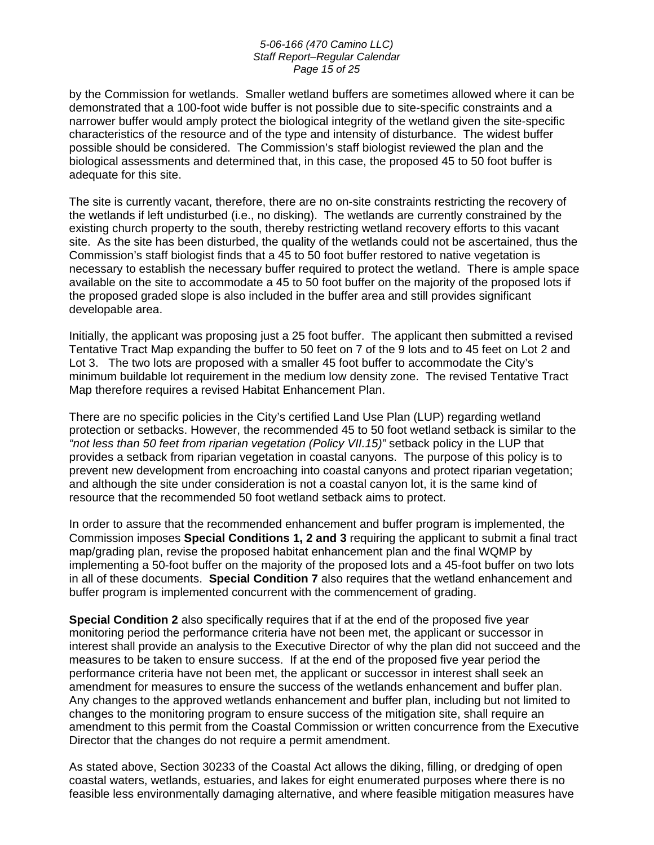#### *5-06-166 (470 Camino LLC) Staff Report–Regular Calendar Page 15 of 25*

by the Commission for wetlands. Smaller wetland buffers are sometimes allowed where it can be demonstrated that a 100-foot wide buffer is not possible due to site-specific constraints and a narrower buffer would amply protect the biological integrity of the wetland given the site-specific characteristics of the resource and of the type and intensity of disturbance. The widest buffer possible should be considered. The Commission's staff biologist reviewed the plan and the biological assessments and determined that, in this case, the proposed 45 to 50 foot buffer is adequate for this site.

The site is currently vacant, therefore, there are no on-site constraints restricting the recovery of the wetlands if left undisturbed (i.e., no disking). The wetlands are currently constrained by the existing church property to the south, thereby restricting wetland recovery efforts to this vacant site. As the site has been disturbed, the quality of the wetlands could not be ascertained, thus the Commission's staff biologist finds that a 45 to 50 foot buffer restored to native vegetation is necessary to establish the necessary buffer required to protect the wetland. There is ample space available on the site to accommodate a 45 to 50 foot buffer on the majority of the proposed lots if the proposed graded slope is also included in the buffer area and still provides significant developable area.

Initially, the applicant was proposing just a 25 foot buffer. The applicant then submitted a revised Tentative Tract Map expanding the buffer to 50 feet on 7 of the 9 lots and to 45 feet on Lot 2 and Lot 3. The two lots are proposed with a smaller 45 foot buffer to accommodate the City's minimum buildable lot requirement in the medium low density zone. The revised Tentative Tract Map therefore requires a revised Habitat Enhancement Plan.

There are no specific policies in the City's certified Land Use Plan (LUP) regarding wetland protection or setbacks. However, the recommended 45 to 50 foot wetland setback is similar to the *"not less than 50 feet from riparian vegetation (Policy VII.15)"* setback policy in the LUP that provides a setback from riparian vegetation in coastal canyons. The purpose of this policy is to prevent new development from encroaching into coastal canyons and protect riparian vegetation; and although the site under consideration is not a coastal canyon lot, it is the same kind of resource that the recommended 50 foot wetland setback aims to protect.

In order to assure that the recommended enhancement and buffer program is implemented, the Commission imposes **Special Conditions 1, 2 and 3** requiring the applicant to submit a final tract map/grading plan, revise the proposed habitat enhancement plan and the final WQMP by implementing a 50-foot buffer on the majority of the proposed lots and a 45-foot buffer on two lots in all of these documents. **Special Condition 7** also requires that the wetland enhancement and buffer program is implemented concurrent with the commencement of grading.

**Special Condition 2** also specifically requires that if at the end of the proposed five year monitoring period the performance criteria have not been met, the applicant or successor in interest shall provide an analysis to the Executive Director of why the plan did not succeed and the measures to be taken to ensure success. If at the end of the proposed five year period the performance criteria have not been met, the applicant or successor in interest shall seek an amendment for measures to ensure the success of the wetlands enhancement and buffer plan. Any changes to the approved wetlands enhancement and buffer plan, including but not limited to changes to the monitoring program to ensure success of the mitigation site, shall require an amendment to this permit from the Coastal Commission or written concurrence from the Executive Director that the changes do not require a permit amendment.

As stated above, Section 30233 of the Coastal Act allows the diking, filling, or dredging of open coastal waters, wetlands, estuaries, and lakes for eight enumerated purposes where there is no feasible less environmentally damaging alternative, and where feasible mitigation measures have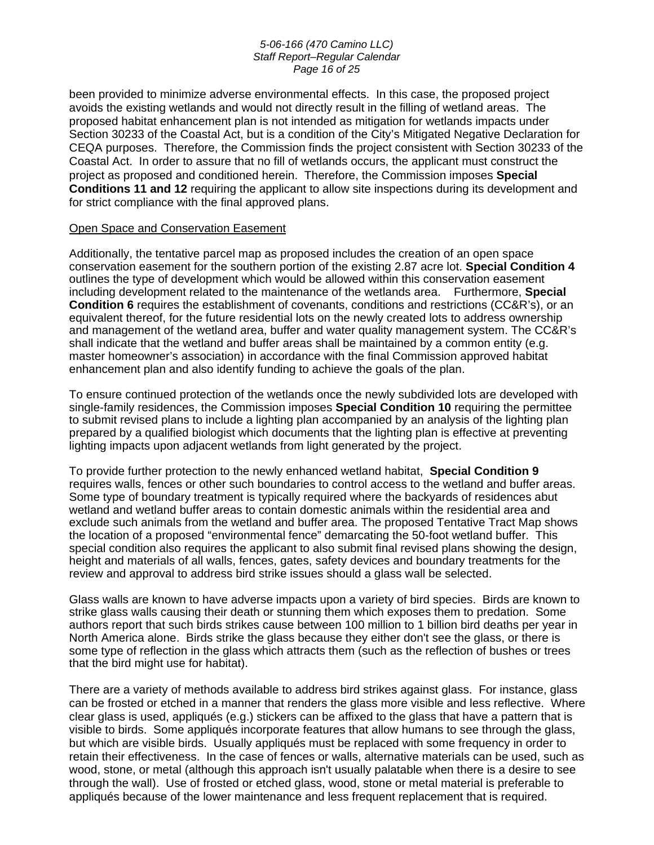#### *5-06-166 (470 Camino LLC) Staff Report–Regular Calendar Page 16 of 25*

been provided to minimize adverse environmental effects. In this case, the proposed project avoids the existing wetlands and would not directly result in the filling of wetland areas. The proposed habitat enhancement plan is not intended as mitigation for wetlands impacts under Section 30233 of the Coastal Act, but is a condition of the City's Mitigated Negative Declaration for CEQA purposes. Therefore, the Commission finds the project consistent with Section 30233 of the Coastal Act. In order to assure that no fill of wetlands occurs, the applicant must construct the project as proposed and conditioned herein. Therefore, the Commission imposes **Special Conditions 11 and 12** requiring the applicant to allow site inspections during its development and for strict compliance with the final approved plans.

# Open Space and Conservation Easement

Additionally, the tentative parcel map as proposed includes the creation of an open space conservation easement for the southern portion of the existing 2.87 acre lot. **Special Condition 4** outlines the type of development which would be allowed within this conservation easement including development related to the maintenance of the wetlands area. Furthermore, **Special Condition 6** requires the establishment of covenants, conditions and restrictions (CC&R's), or an equivalent thereof, for the future residential lots on the newly created lots to address ownership and management of the wetland area, buffer and water quality management system. The CC&R's shall indicate that the wetland and buffer areas shall be maintained by a common entity (e.g. master homeowner's association) in accordance with the final Commission approved habitat enhancement plan and also identify funding to achieve the goals of the plan.

To ensure continued protection of the wetlands once the newly subdivided lots are developed with single-family residences, the Commission imposes **Special Condition 10** requiring the permittee to submit revised plans to include a lighting plan accompanied by an analysis of the lighting plan prepared by a qualified biologist which documents that the lighting plan is effective at preventing lighting impacts upon adjacent wetlands from light generated by the project.

To provide further protection to the newly enhanced wetland habitat, **Special Condition 9** requires walls, fences or other such boundaries to control access to the wetland and buffer areas. Some type of boundary treatment is typically required where the backyards of residences abut wetland and wetland buffer areas to contain domestic animals within the residential area and exclude such animals from the wetland and buffer area. The proposed Tentative Tract Map shows the location of a proposed "environmental fence" demarcating the 50-foot wetland buffer. This special condition also requires the applicant to also submit final revised plans showing the design, height and materials of all walls, fences, gates, safety devices and boundary treatments for the review and approval to address bird strike issues should a glass wall be selected.

Glass walls are known to have adverse impacts upon a variety of bird species. Birds are known to strike glass walls causing their death or stunning them which exposes them to predation. Some authors report that such birds strikes cause between 100 million to 1 billion bird deaths per year in North America alone. Birds strike the glass because they either don't see the glass, or there is some type of reflection in the glass which attracts them (such as the reflection of bushes or trees that the bird might use for habitat).

There are a variety of methods available to address bird strikes against glass. For instance, glass can be frosted or etched in a manner that renders the glass more visible and less reflective. Where clear glass is used, appliqués (e.g.) stickers can be affixed to the glass that have a pattern that is visible to birds. Some appliqués incorporate features that allow humans to see through the glass, but which are visible birds. Usually appliqués must be replaced with some frequency in order to retain their effectiveness. In the case of fences or walls, alternative materials can be used, such as wood, stone, or metal (although this approach isn't usually palatable when there is a desire to see through the wall). Use of frosted or etched glass, wood, stone or metal material is preferable to appliqués because of the lower maintenance and less frequent replacement that is required.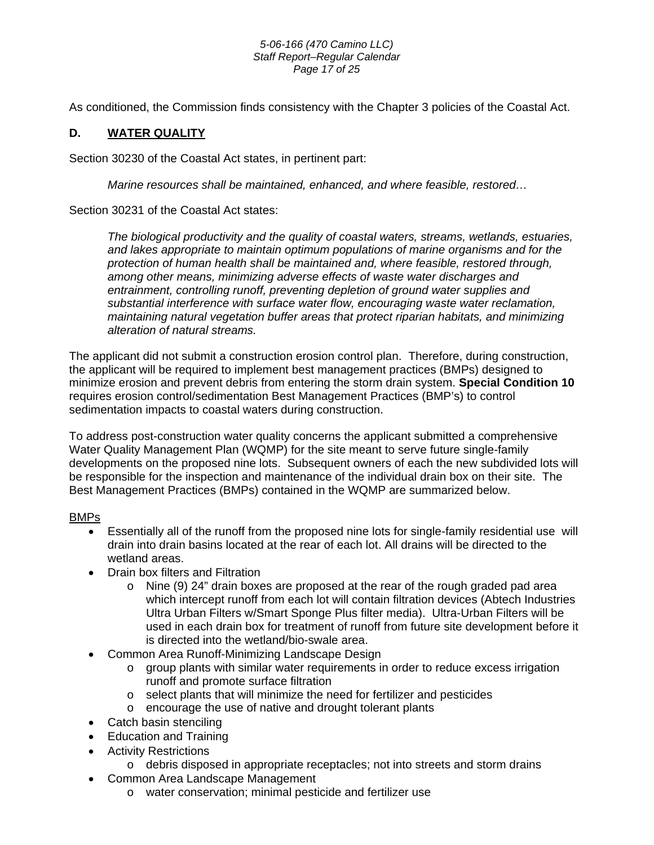#### *5-06-166 (470 Camino LLC) Staff Report–Regular Calendar Page 17 of 25*

As conditioned, the Commission finds consistency with the Chapter 3 policies of the Coastal Act.

# **D. WATER QUALITY**

Section 30230 of the Coastal Act states, in pertinent part:

*Marine resources shall be maintained, enhanced, and where feasible, restored…* 

Section 30231 of the Coastal Act states:

*The biological productivity and the quality of coastal waters, streams, wetlands, estuaries, and lakes appropriate to maintain optimum populations of marine organisms and for the protection of human health shall be maintained and, where feasible, restored through, among other means, minimizing adverse effects of waste water discharges and entrainment, controlling runoff, preventing depletion of ground water supplies and substantial interference with surface water flow, encouraging waste water reclamation, maintaining natural vegetation buffer areas that protect riparian habitats, and minimizing alteration of natural streams.* 

The applicant did not submit a construction erosion control plan. Therefore, during construction, the applicant will be required to implement best management practices (BMPs) designed to minimize erosion and prevent debris from entering the storm drain system. **Special Condition 10**  requires erosion control/sedimentation Best Management Practices (BMP's) to control sedimentation impacts to coastal waters during construction.

To address post-construction water quality concerns the applicant submitted a comprehensive Water Quality Management Plan (WQMP) for the site meant to serve future single-family developments on the proposed nine lots. Subsequent owners of each the new subdivided lots will be responsible for the inspection and maintenance of the individual drain box on their site. The Best Management Practices (BMPs) contained in the WQMP are summarized below.

# BMPs

- Essentially all of the runoff from the proposed nine lots for single-family residential use will drain into drain basins located at the rear of each lot. All drains will be directed to the wetland areas.
- Drain box filters and Filtration
	- $\circ$  Nine (9) 24" drain boxes are proposed at the rear of the rough graded pad area which intercept runoff from each lot will contain filtration devices (Abtech Industries Ultra Urban Filters w/Smart Sponge Plus filter media). Ultra-Urban Filters will be used in each drain box for treatment of runoff from future site development before it is directed into the wetland/bio-swale area.
- Common Area Runoff-Minimizing Landscape Design
	- o group plants with similar water requirements in order to reduce excess irrigation runoff and promote surface filtration
	- o select plants that will minimize the need for fertilizer and pesticides
	- o encourage the use of native and drought tolerant plants
- Catch basin stenciling
- Education and Training
- Activity Restrictions
	- $\circ$  debris disposed in appropriate receptacles; not into streets and storm drains
- Common Area Landscape Management
	- o water conservation; minimal pesticide and fertilizer use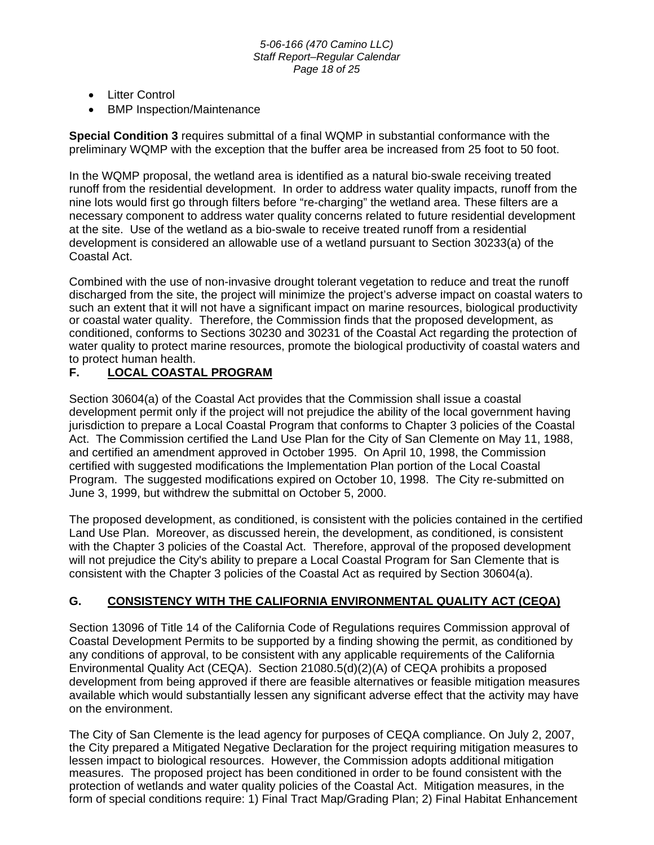- Litter Control
- BMP Inspection/Maintenance

**Special Condition 3** requires submittal of a final WQMP in substantial conformance with the preliminary WQMP with the exception that the buffer area be increased from 25 foot to 50 foot.

In the WQMP proposal, the wetland area is identified as a natural bio-swale receiving treated runoff from the residential development. In order to address water quality impacts, runoff from the nine lots would first go through filters before "re-charging" the wetland area. These filters are a necessary component to address water quality concerns related to future residential development at the site. Use of the wetland as a bio-swale to receive treated runoff from a residential development is considered an allowable use of a wetland pursuant to Section 30233(a) of the Coastal Act.

Combined with the use of non-invasive drought tolerant vegetation to reduce and treat the runoff discharged from the site, the project will minimize the project's adverse impact on coastal waters to such an extent that it will not have a significant impact on marine resources, biological productivity or coastal water quality. Therefore, the Commission finds that the proposed development, as conditioned, conforms to Sections 30230 and 30231 of the Coastal Act regarding the protection of water quality to protect marine resources, promote the biological productivity of coastal waters and to protect human health.

# **F. LOCAL COASTAL PROGRAM**

Section 30604(a) of the Coastal Act provides that the Commission shall issue a coastal development permit only if the project will not prejudice the ability of the local government having jurisdiction to prepare a Local Coastal Program that conforms to Chapter 3 policies of the Coastal Act. The Commission certified the Land Use Plan for the City of San Clemente on May 11, 1988, and certified an amendment approved in October 1995. On April 10, 1998, the Commission certified with suggested modifications the Implementation Plan portion of the Local Coastal Program. The suggested modifications expired on October 10, 1998. The City re-submitted on June 3, 1999, but withdrew the submittal on October 5, 2000.

The proposed development, as conditioned, is consistent with the policies contained in the certified Land Use Plan. Moreover, as discussed herein, the development, as conditioned, is consistent with the Chapter 3 policies of the Coastal Act. Therefore, approval of the proposed development will not prejudice the City's ability to prepare a Local Coastal Program for San Clemente that is consistent with the Chapter 3 policies of the Coastal Act as required by Section 30604(a).

# **G. CONSISTENCY WITH THE CALIFORNIA ENVIRONMENTAL QUALITY ACT (CEQA)**

Section 13096 of Title 14 of the California Code of Regulations requires Commission approval of Coastal Development Permits to be supported by a finding showing the permit, as conditioned by any conditions of approval, to be consistent with any applicable requirements of the California Environmental Quality Act (CEQA). Section 21080.5(d)(2)(A) of CEQA prohibits a proposed development from being approved if there are feasible alternatives or feasible mitigation measures available which would substantially lessen any significant adverse effect that the activity may have on the environment.

The City of San Clemente is the lead agency for purposes of CEQA compliance. On July 2, 2007, the City prepared a Mitigated Negative Declaration for the project requiring mitigation measures to lessen impact to biological resources. However, the Commission adopts additional mitigation measures. The proposed project has been conditioned in order to be found consistent with the protection of wetlands and water quality policies of the Coastal Act. Mitigation measures, in the form of special conditions require: 1) Final Tract Map/Grading Plan; 2) Final Habitat Enhancement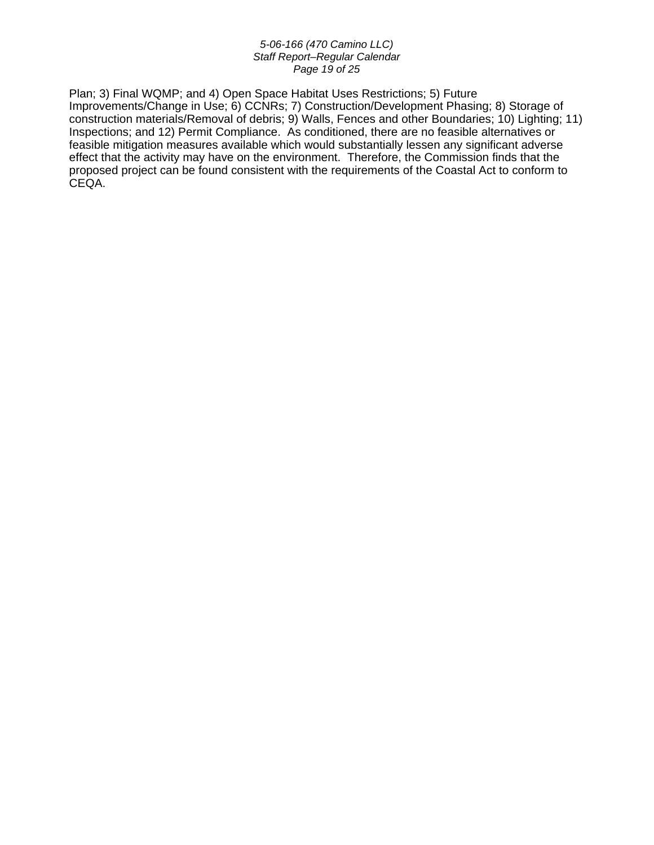#### *5-06-166 (470 Camino LLC) Staff Report–Regular Calendar Page 19 of 25*

Plan; 3) Final WQMP; and 4) Open Space Habitat Uses Restrictions; 5) Future Improvements/Change in Use; 6) CCNRs; 7) Construction/Development Phasing; 8) Storage of construction materials/Removal of debris; 9) Walls, Fences and other Boundaries; 10) Lighting; 11) Inspections; and 12) Permit Compliance. As conditioned, there are no feasible alternatives or feasible mitigation measures available which would substantially lessen any significant adverse effect that the activity may have on the environment. Therefore, the Commission finds that the proposed project can be found consistent with the requirements of the Coastal Act to conform to CEQA.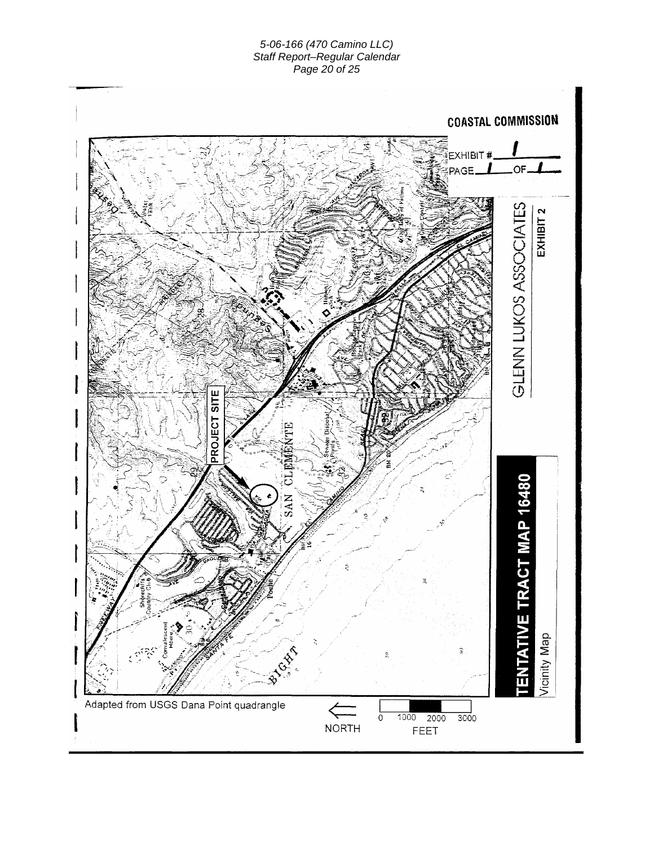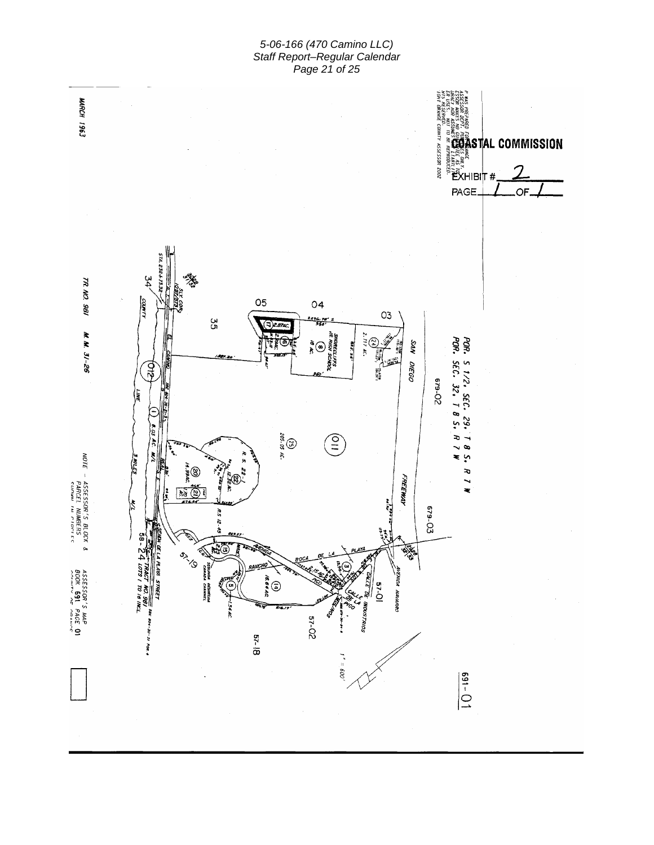*5-06-166 (470 Camino LLC) Staff Report–Regular Calendar Page 21 of 25* 

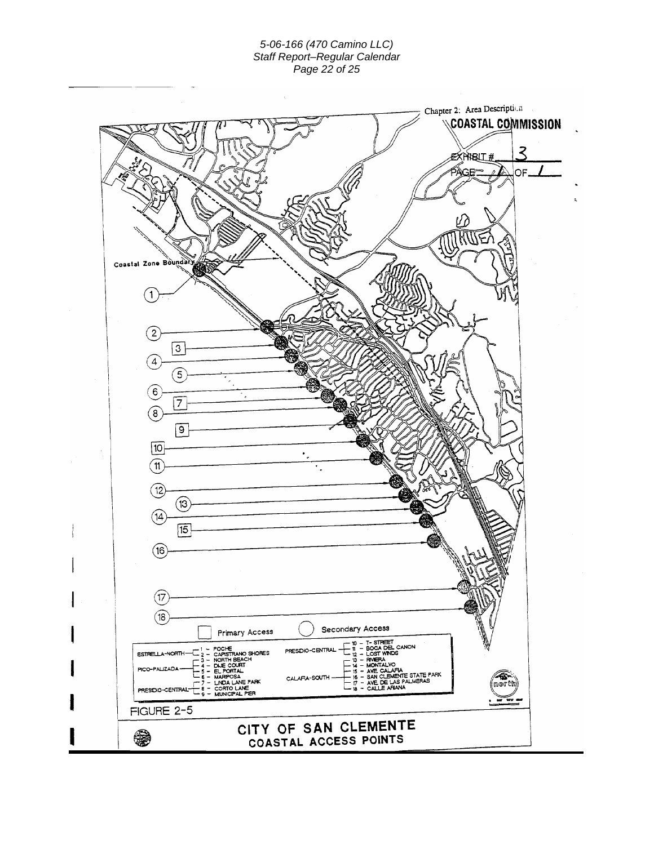#### *5-06-166 (470 Camino LLC) Staff Report–Regular Calendar Page 22 of 25*

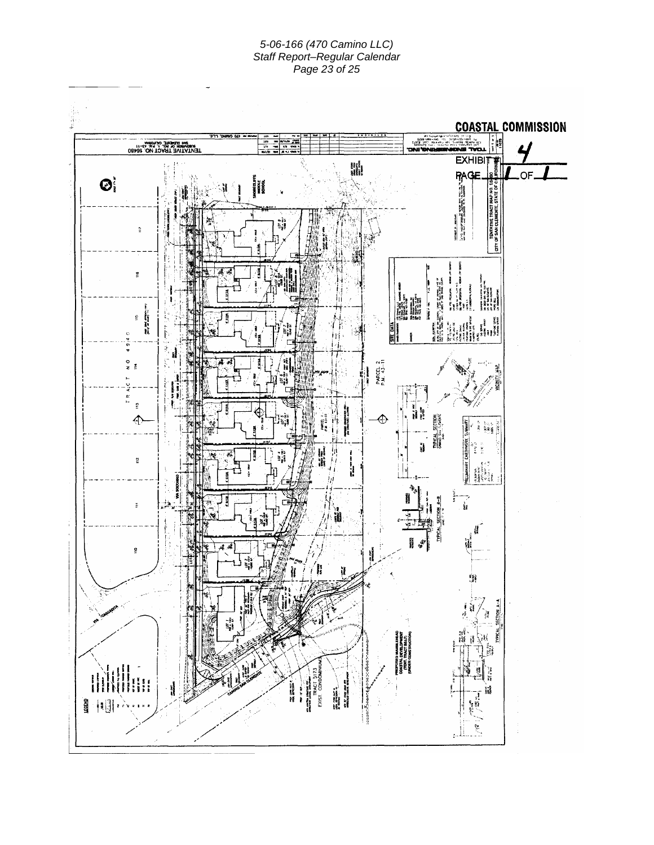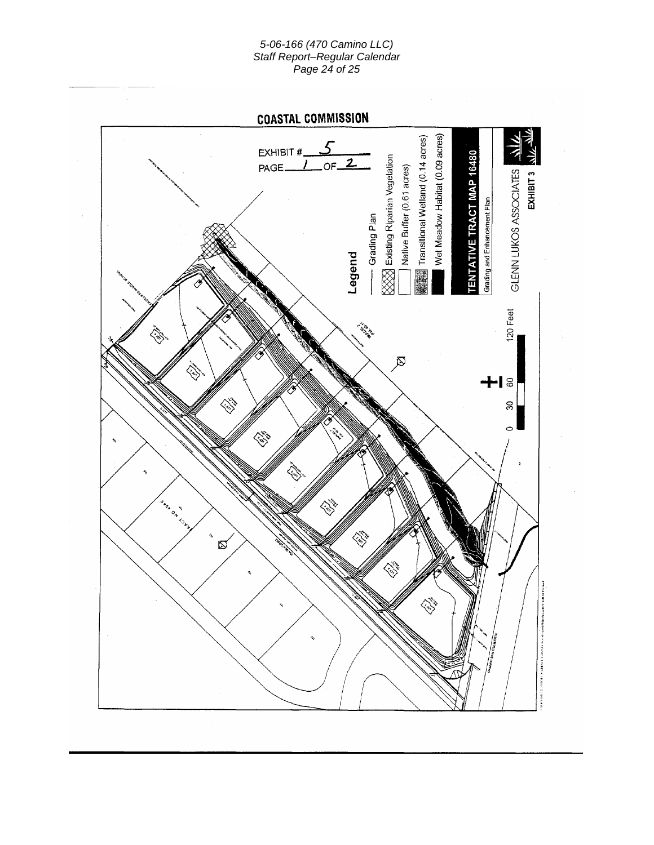#### *5-06-166 (470 Camino LLC) Staff Report–Regular Calendar Page 24 of 25*